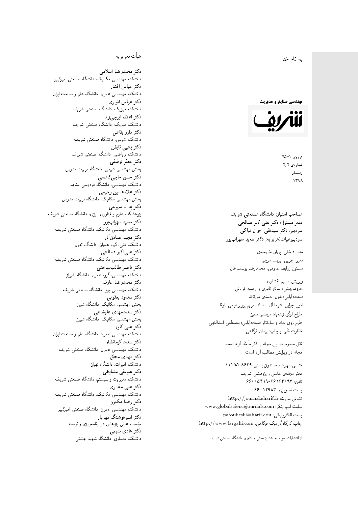$\overline{\phantom{a}}$ ز<br>ن به نام خدا .<br>.

**مهندسی صنایع و مدیریت** 



دورەي ١-٣۵ شمارەي ٢٫٢ زمستان 1398

صاحب امتیاز: دانشگاه صنعتی شریف  $\mathfrak{c}$ مدیر مسئول: دکتر علیاکبر صالحی  $\mathfrak{c}$ سردبیرهیاتتحر یریه: دکتر سعید سهرابپور سردبیر: دکتر سیدتقی اخوان نیاکی

مدير داخلى: پوران خيرمندى<br>ا مدير اجرايي: پريسا مروتي<br>. مسئول روابط عمومی: محمدرضا یوسفخان<br>.

ویرایش: نسیم افشاری<br>انا ان طراح لوگو: زندهیاد مرتضمی ممیز<br>ا طرح روی جلد و ساختار صفحه[رایی: مصطفی اسداللهی<br>پیلاسمیند نظارت فٽ<sub>ی</sub> و چاپ: پيمان فرگاه<sub>ی</sub><br>.

نقل مندرجات این مجله با ذکر مأخذ آزاد است.<br>مجله در ویرایش مطالب آزاد است.

نشانی: تهران / ۸۶۳۹-۱۱۱۵۵ دفتر مجلهى علمى ويژوهشى شريف 5600019-661640 % 060 پست تصویری: ۱۲۹۸۳ ۶۶۰ نشانی سایت: http://journal.sharif.ir<br>ء سايت اسپرينگر: www.globalsciencejournals.com<br>المکسور کول کول کول او کول مارسان pajouhesh@sharif.edu :يست الكترونيكي: http://www.fargahi.com ،وكاهي، http://www.fargahi.com حروف چینی: ساناز نادری و راضیه قربانی<br>امور اجرایی: غزل احمدی میرقاند<br>طواح لوگو: زندهیاد مرتضی ممیز<br>طواح لوگو: زندهیاد مرتضی ممیز<br>نظارت فنّی و چاپ: پیمان فرگاهی<br>مجله در ویرایش مطالب آزاد است.<br>نظارت فنّی و ۱۳۹۵–۱۱۱۵۵–۱۶۳۸<br>ن

### هيأت تحريريه

دكتر محمدرضا اسلامى مکانیک، دانشگاه صنعتی امیرکبیر<br>. دكتر عباس افشار دانشکده مهندسی عمران، دانشگاه علم و صنعت ایران<br>بحمد مصلحات دكتر عباس انوارى دانشکده فیزیک، دانشگاه صنعتبی شریف<br>محمد استانسا دکتر اعظم ايرج<mark>ي</mark> زاد ، دانشگاه صنعتبی شریف<br>. دکتر داور بقاع**ی** دانشکده شیمی، دانشگاه صنعتی شریف<br>دکتر یحیی تابش دانشکده ریاضی، دانشگاه صنعتی شریف<br>برمسمنستانستان دكتر جعفر توفيقي بخش مهندسی شیمی، دانشگاه تربیت مدرس<br>سم دكتر حسن حاجىكاظمي دانشکده مهندسی، دانشگاه فردوسی مشهد<br>کستفلار م دكتر غلامحسين رحيمي هندسی مکانیک، دانشگاه تربیت مدرس<br>ا دکتر یدا... سبوحی پژوهشکده علوم و فناوری انرژی، دانشگاه صنعتبی شریف دکتر سعید سهرابپور<br>دانشکده مهندسی مکانیک، دانشگاه صنعتی شریف دکتر مجيد صادقاذر ا<br>. دانشکده فنی، گروه عمران، دانشگاه تهران دکتر علیاکبر صالحی = دانشکده مهندسی مکانیک، دانشگاه صنعتی شریف<br>یکستا دکتر ناصر طالب بیدختی r  $\mathfrak{c}$ دانشکده مهندسی، گروه عمران، دانشگاه شیراز<br>مکتب مصدر مقبل علم دكتر محمدرضا عارف دانشکده مهندسی برق، دانشگاه صنعتی شریف<br><mark>دکتر محمود یعقوبی</mark> هندسی مکانیک، دانشگاه شیراز<br>مسدوده مصلوفیاه دکتر محمدمهدی علیشاهی بخش مهندسی مکانیک، دانشگاه شیراز<br>مکتبهای کابی دکتر علی کاوہ دانشکده مهندسی عمران، دانشگاه علم و صنعت ایران<br>بحت دکتر محمد کرمانشاه .<br>. دانشکده مهندسی عمران، دانشگاه صنعتی شریف<br>مکتبر دولت مستق دکتر مهد*ی* محقق دانشکده ادبیات، دانشگاه تهران دکتر علینقی مشایخ<u>ی</u> دانشکده مدیریت و سیستم، دانشگاه صنعتبی شریف<br>محمد باست دکتر عل*ی* مقداری مکانیک، دانشگاه صنعتی شریف<br>. دكتر رضا مكنون دانشکده مهندسی عمران. دانشگاه صنعتی امیرکبیر<br>محمد است میگ دکتر امیرهوشنگ مهریار سه عالمی پژوهش در برنامهریزی و توسعه<br>۱۹ادم خار موسه<br>بر ءُ<br>ك دکتر هادی ندیمی  $\overline{a}$ م تشا<br>يتم الموارد الموارد الموارد الموارد الموارد الموارد الموارد الموارد الموارد الموارد الموارد الموارد الموارد ال<br>الموارد الموارد الموارد الموارد الموارد الموارد الموارد الموارد الموارد الموارد الموارد الموارد الموارد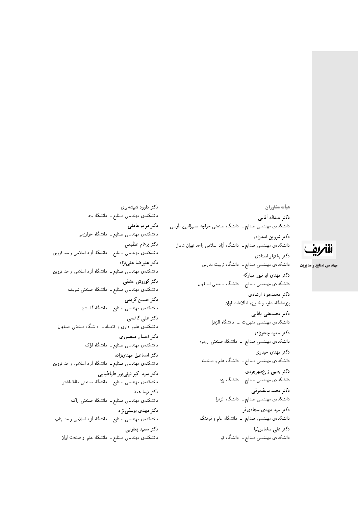للمريق

هيأت مشاوران دكتر عبداله أقاي<u>ئ</u>

**مهندسی صنایع و مدیریت** 

دکتر داوود شیشه بری دانشکدهی مهندسی صنایع ــ دانشگاه یزد دكتر مريم عاملي دانشکدهی مهندسی صنایع ــ دانشگاه خوارزمی دكتر برهام عظيمى دانشکدهی مهندسی صنایع ــ دانشگاه آزاد اسلامی واحد قزوین دكتر عليرضا على نژاد دانشکدهی مهندسی صنایع ــ دانشگاه آزاد اسلامی واحد قزوین دکتر کوروش عشقی دانشکدهی مهندسی صنایع ــ دانشگاه صنعتی شریف دکتر حسین کر یمے، دانشکدهی مهندسی صنایع ــ دانشگاه گلستان دكتر على كاظمى دانشکدهی علوم اداری و اقتصاد ــ دانشگاه صنعتبی اصفهان دكتر احسان منصورى دانشکدهی مهندسی صنایع ــ دانشگاه اراک دكتر اسماعيل مهدى زاده دانشکده، مهندسی صنایع ــ دانشگاه آزاد اسلامی واحد قزوین دکتر سید اکبر نیلی پور طباطبایی دانشکدهی مهندسی صنایع ــ دانشگاه صنعتی مالکاشتر دكتر نيما همتا دانشکدهی مهندسی صنایع ــ دانشگاه صنعتی اراک دکتر مهدی یوسفی نژاد دانشکده ی مهندسی صنایع ــ دانشگاه آزاد اسلامی واحد بناب دكتر سعيد يعقوبي

دانشکدهی مهندسی صنایع ــ دانشگاه صنعتی خواجه نصیرالدین طوسی دكتر شروين اسدزاده دانشکدهی مهندسی صنایع ــ دانشگاه آزاد اسلامی واحد تهران شمال دكتر بختيار استادى دانشکدهی مهندسی صنایع ــ دانشگاه تربیت مدرس دكتر مهدى ايرانپور مباركه دانشکدهی مهندسی صنایع ــ دانشگاه صنعتی اصفهان دكتر محمدجواد ارشادى پژوهشگاه علوم و فناوری اطلاعات ایران دكتر محمدعلى بابايي دانشکدهی مهندسی مدیریت – دانشگاه الزهرا دكتر سعيد جعفرزاده دانشکدهی مهندسی صنایع ــ دانشگاه صنعتبی ارومیه دكتر مهدى حيدري دانشکدهی مهندسی صنایع ــ دانشگاه علم و صنعت دكتر يحيى زارع مهرجردي دانشکدهی مهندسی صنایع ــ دانشگاه یزد دكتر محمد سيف برقي دانشکدهی مهندسی صنایع ــ دانشگاه الزهرا دکتر سید مهدی سجادیفر دانشکدهی مهندسی صنایع <mark>ـ دانشگاه علم و فرهنگ</mark>

sra x=oWv=O `}=vY |UOvyt |xOmWv=O u=Q}= CavY w sk x=oWv=O `}=vY |UOvyt |xOmWv=Oدکتر علی سلماس نیا<br>دانشکده، مهندسی صنایع ــ دانشگاه قم